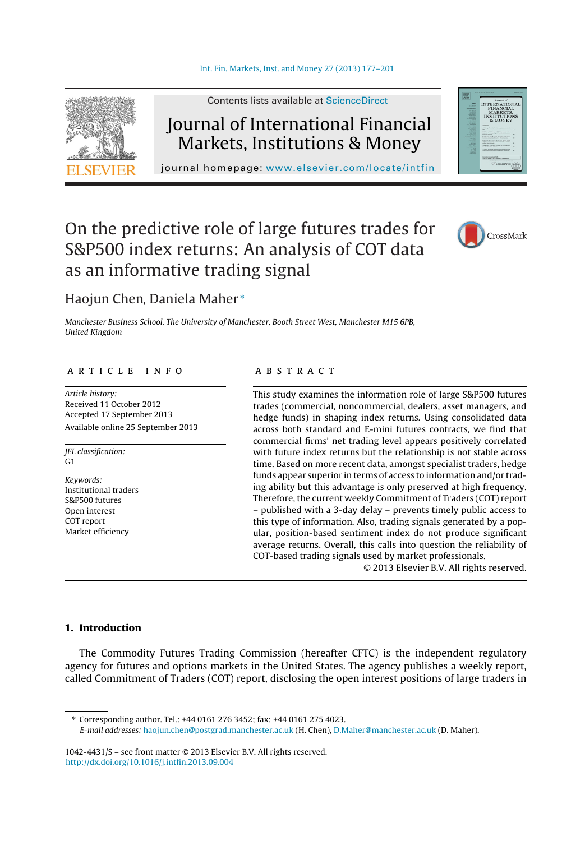

Contents lists available at [ScienceDirect](http://www.sciencedirect.com/science/journal/10424431)

# Journal of International Financial Markets, Institutions & Money

journal homepage: [www.elsevier.com/locate/intfin](http://www.elsevier.com/locate/intfin)

# On the predictive role of large futures trades for S&P500 index returns: An analysis of COT data as an informative trading signal



### Haojun Chen, Daniela Maher <sup>∗</sup>

Manchester Business School, The University of Manchester, Booth Street West, Manchester M15 6PB, United Kingdom

#### a r t i c l e i n f o

Article history: Received 11 October 2012 Accepted 17 September 2013 Available online 25 September 2013

JEL classification: G1

Keywords: Institutional traders S&P500 futures Open interest COT report Market efficiency

#### a b s t r a c t

This study examines the information role of large S&P500 futures trades (commercial, noncommercial, dealers, asset managers, and hedge funds) in shaping index returns. Using consolidated data across both standard and E-mini futures contracts, we find that commercial firms' net trading level appears positively correlated with future index returns but the relationship is not stable across time. Based on more recent data, amongst specialist traders, hedge funds appear superior in terms of access to information and/or trading ability but this advantage is only preserved at high frequency. Therefore, the current weekly Commitment of Traders (COT) report – published with a 3-day delay – prevents timely public access to this type of information. Also, trading signals generated by a popular, position-based sentiment index do not produce significant average returns. Overall, this calls into question the reliability of COT-based trading signals used by market professionals.

© 2013 Elsevier B.V. All rights reserved.

#### **1. Introduction**

The Commodity Futures Trading Commission (hereafter CFTC) is the independent regulatory agency for futures and options markets in the United States. The agency publishes a weekly report, called Commitment of Traders (COT) report, disclosing the open interest positions of large traders in

∗ Corresponding author. Tel.: +44 0161 276 3452; fax: +44 0161 275 4023.

1042-4431/\$ – see front matter © 2013 Elsevier B.V. All rights reserved. [http://dx.doi.org/10.1016/j.intfin.2013.09.004](dx.doi.org/10.1016/j.intfin.2013.09.004)

E-mail addresses: [haojun.chen@postgrad.manchester.ac.uk](mailto:haojun.chen@postgrad.manchester.ac.uk) (H. Chen), [D.Maher@manchester.ac.uk](mailto:D.Maher@manchester.ac.uk) (D. Maher).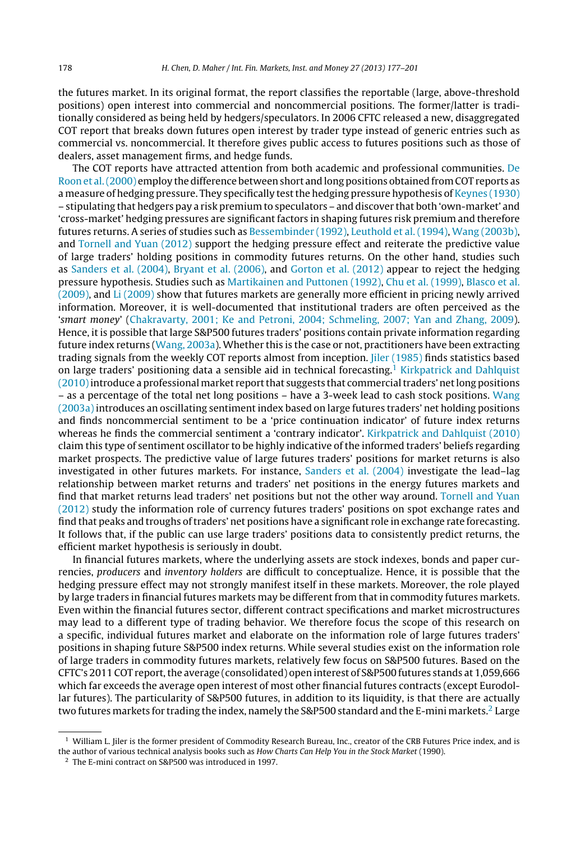the futures market. In its original format, the report classifies the reportable (large, above-threshold positions) open interest into commercial and noncommercial positions. The former/latter is traditionally considered as being held by hedgers/speculators. In 2006 CFTC released a new, disaggregated COT report that breaks down futures open interest by trader type instead of generic entries such as commercial vs. noncommercial. It therefore gives public access to futures positions such as those of dealers, asset management firms, and hedge funds.

The COT reports have attracted attention from both academic and professional communities. [De](#page--1-0) Roon et al. (2000) employ the difference between short and long positions obtained from COT reports as a measure of hedging pressure. They specifically testthe hedging pressure hypothesis of [Keynes](#page--1-0) [\(1930\)](#page--1-0) – stipulating that hedgers pay a risk premium to speculators – and discover that both 'own-market' and 'cross-market' hedging pressures are significant factors in shaping futures risk premium and therefore futures returns. A series of studies such as [Bessembinder](#page--1-0) [\(1992\),](#page--1-0) [Leuthold](#page--1-0) et [al.](#page--1-0) [\(1994\),](#page--1-0) [Wang](#page--1-0) [\(2003b\),](#page--1-0) and [Tornell](#page--1-0) [and](#page--1-0) [Yuan](#page--1-0) [\(2012\)](#page--1-0) support the hedging pressure effect and reiterate the predictive value of large traders' holding positions in commodity futures returns. On the other hand, studies such as [Sanders](#page--1-0) et [al.](#page--1-0) [\(2004\),](#page--1-0) [Bryant](#page--1-0) et [al.](#page--1-0) [\(2006\),](#page--1-0) and [Gorton](#page--1-0) et [al.](#page--1-0) [\(2012\)](#page--1-0) appear to reject the hedging pressure hypothesis. Studies such as [Martikainen](#page--1-0) [and](#page--1-0) [Puttonen](#page--1-0) [\(1992\),](#page--1-0) [Chu](#page--1-0) et [al.](#page--1-0) [\(1999\),](#page--1-0) [Blasco](#page--1-0) et [al.](#page--1-0) [\(2009\),](#page--1-0) and [Li](#page--1-0) [\(2009\)](#page--1-0) show that futures markets are generally more efficient in pricing newly arrived information. Moreover, it is well-documented that institutional traders are often perceived as the 'smart money' [\(Chakravarty,](#page--1-0) [2001;](#page--1-0) [Ke](#page--1-0) [and](#page--1-0) [Petroni,](#page--1-0) [2004;](#page--1-0) [Schmeling,](#page--1-0) [2007;](#page--1-0) [Yan](#page--1-0) [and](#page--1-0) [Zhang,](#page--1-0) [2009\).](#page--1-0) Hence, it is possible that large S&P500 futures traders' positions contain private information regarding future index returns [\(Wang,](#page--1-0) [2003a\).](#page--1-0) Whether this is the case or not, practitioners have been extracting trading signals from the weekly COT reports almost from inception. [Jiler](#page--1-0) [\(1985\)](#page--1-0) finds statistics based on large traders' positioning data a sensible aid in technical forecasting.<sup>1</sup> [Kirkpatrick](#page--1-0) [and](#page--1-0) [Dahlquist](#page--1-0)  $(2010)$  introduce a professional market report that suggests that commercial traders' net long positions – as a percentage of the total net long positions – have a 3-week lead to cash stock positions. [Wang](#page--1-0) [\(2003a\)](#page--1-0) introduces an oscillating sentimentindex based on large futures traders' net holding positions and finds noncommercial sentiment to be a 'price continuation indicator' of future index returns whereas he finds the commercial sentiment a 'contrary indicator'. [Kirkpatrick](#page--1-0) [and](#page--1-0) [Dahlquist](#page--1-0) [\(2010\)](#page--1-0) claim this type of sentiment oscillator to be highly indicative of the informed traders' beliefs regarding market prospects. The predictive value of large futures traders' positions for market returns is also investigated in other futures markets. For instance, [Sanders](#page--1-0) et [al.](#page--1-0) [\(2004\)](#page--1-0) investigate the lead–lag relationship between market returns and traders' net positions in the energy futures markets and find that market returns lead traders' net positions but not the other way around. [Tornell](#page--1-0) [and](#page--1-0) [Yuan](#page--1-0) [\(2012\)](#page--1-0) study the information role of currency futures traders' positions on spot exchange rates and find that peaks and troughs oftraders' net positions have a significant role in exchange rate forecasting. It follows that, if the public can use large traders' positions data to consistently predict returns, the efficient market hypothesis is seriously in doubt.

In financial futures markets, where the underlying assets are stock indexes, bonds and paper currencies, producers and inventory holders are difficult to conceptualize. Hence, it is possible that the hedging pressure effect may not strongly manifest itself in these markets. Moreover, the role played by large traders in financial futures markets may be different from that in commodity futures markets. Even within the financial futures sector, different contract specifications and market microstructures may lead to a different type of trading behavior. We therefore focus the scope of this research on a specific, individual futures market and elaborate on the information role of large futures traders' positions in shaping future S&P500 index returns. While several studies exist on the information role of large traders in commodity futures markets, relatively few focus on S&P500 futures. Based on the CFTC's 2011 COT report, the average (consolidated) open interest of S&P500 futures stands at 1,059,666 which far exceeds the average open interest of most other financial futures contracts (except Eurodollar futures). The particularity of S&P500 futures, in addition to its liquidity, is that there are actually two futures markets for trading the index, namely the S&P500 standard and the E-mini markets.<sup>2</sup> Large

 $1$  William L. Jiler is the former president of Commodity Research Bureau, Inc., creator of the CRB Futures Price index, and is the author of various technical analysis books such as How Charts Can Help You in the Stock Market (1990).

<sup>2</sup> The E-mini contract on S&P500 was introduced in 1997.